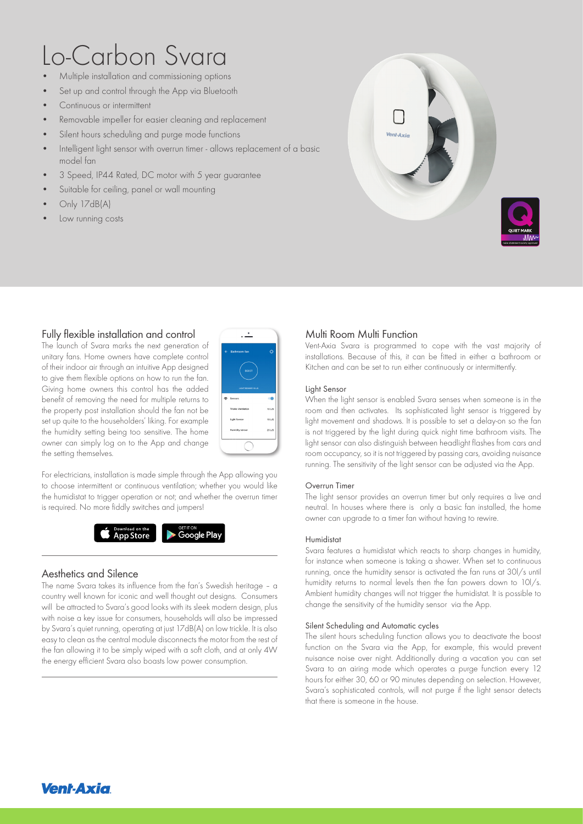# Lo-Carbon Svara

- Multiple installation and commissioning options
- Set up and control through the App via Bluetooth
- Continuous or intermittent
- Removable impeller for easier cleaning and replacement
- Silent hours scheduling and purge mode functions
- Intelligent light sensor with overrun timer allows replacement of a basic model fan
- 3 Speed, IP44 Rated, DC motor with 5 year guarantee
- Suitable for ceiling, panel or wall mounting
- Only 17dB(A)
- Low running costs



## Fully flexible installation and control

The launch of Svara marks the next generation of unitary fans. Home owners have complete control of their indoor air through an intuitive App designed to give them flexible options on how to run the fan. Giving home owners this control has the added benefit of removing the need for multiple returns to the property post installation should the fan not be set up quite to the householders' liking. For example the humidity setting being too sensitive. The home owner can simply log on to the App and change the setting themselves.



For electricians, installation is made simple through the App allowing you to choose intermittent or continuous ventilation; whether you would like the humidistat to trigger operation or not; and whether the overrun timer is required. No more fiddly switches and jumpers!



## Aesthetics and Silence

The name Svara takes its influence from the fan's Swedish heritage – a country well known for iconic and well thought out designs. Consumers will be attracted to Svara's good looks with its sleek modern design, plus with noise a key issue for consumers, households will also be impressed by Svara's quiet running, operating at just 17dB(A) on low trickle. It is also easy to clean as the central module disconnects the motor from the rest of the fan allowing it to be simply wiped with a soft cloth, and at only 4W the energy efficient Svara also boasts low power consumption.

## Multi Room Multi Function

Vent-Axia Svara is programmed to cope with the vast majority of installations. Because of this, it can be fitted in either a bathroom or Kitchen and can be set to run either continuously or intermittently.

#### Light Sensor

When the light sensor is enabled Svara senses when someone is in the room and then activates. Its sophisticated light sensor is triggered by light movement and shadows. It is possible to set a delay-on so the fan is not triggered by the light during quick night time bathroom visits. The light sensor can also distinguish between headlight flashes from cars and room occupancy, so it is not triggered by passing cars, avoiding nuisance running. The sensitivity of the light sensor can be adjusted via the App.

#### Overrun Timer

The light sensor provides an overrun timer but only requires a live and neutral. In houses where there is only a basic fan installed, the home owner can upgrade to a timer fan without having to rewire.

#### Humidistat

Svara features a humidistat which reacts to sharp changes in humidity, for instance when someone is taking a shower. When set to continuous running, once the humidity sensor is activated the fan runs at 30l/s until humidity returns to normal levels then the fan powers down to 10l/s. Ambient humidity changes will not trigger the humidistat. It is possible to change the sensitivity of the humidity sensor via the App.

#### Silent Scheduling and Automatic cycles

The silent hours scheduling function allows you to deactivate the boost function on the Svara via the App, for example, this would prevent nuisance noise over night. Additionally during a vacation you can set Svara to an airing mode which operates a purge function every 12 hours for either 30, 60 or 90 minutes depending on selection. However, Svara's sophisticated controls, will not purge if the light sensor detects that there is someone in the house.